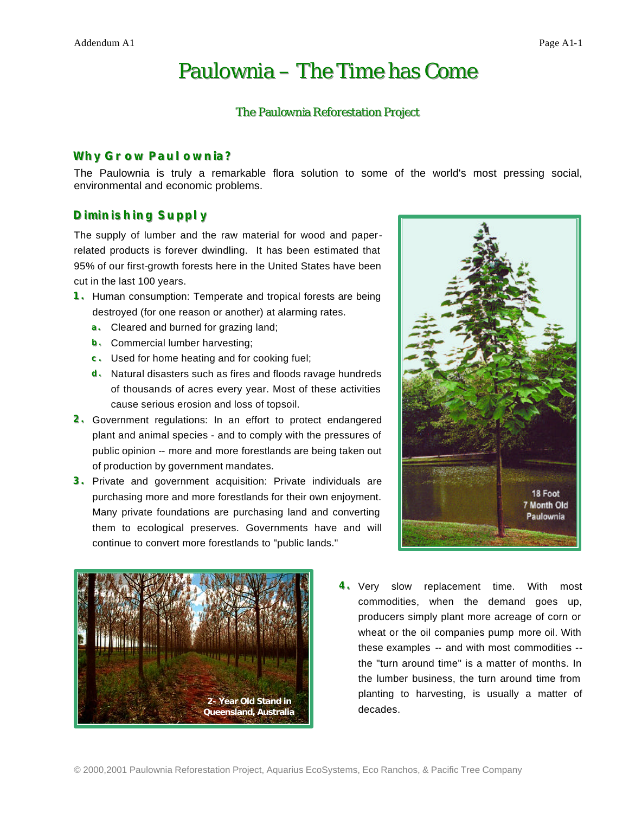# Paulownia – The Time has Come

#### The Paulownia Reforestation Project

## **Why Grow Paul ownia?**

The Paulownia is truly a remarkable flora solution to some of the world's most pressing social, environmental and economic problems.

## **Diminishing Supply**

The supply of lumber and the raw material for wood and paperrelated products is forever dwindling. It has been estimated that 95% of our first-growth forests here in the United States have been cut in the last 100 years.

- **1.** Human consumption: Temperate and tropical forests are being destroyed (for one reason or another) at alarming rates.
	- **a.** Cleared and burned for grazing land;
	- **b.** Commercial lumber harvesting;
	- **c.** Used for home heating and for cooking fuel;
	- **d.** Natural disasters such as fires and floods ravage hundreds of thousands of acres every year. Most of these activities cause serious erosion and loss of topsoil.
- **2.** Government regulations: In an effort to protect endangered plant and animal species - and to comply with the pressures of public opinion -- more and more forestlands are being taken out of production by government mandates.
- **3.** Private and government acquisition: Private individuals are purchasing more and more forestlands for their own enjoyment. Many private foundations are purchasing land and converting them to ecological preserves. Governments have and will continue to convert more forestlands to "public lands."





**4.** Very slow replacement time. With most commodities, when the demand goes up, producers simply plant more acreage of corn or wheat or the oil companies pump more oil. With these examples -- and with most commodities - the "turn around time" is a matter of months. In the lumber business, the turn around time from planting to harvesting, is usually a matter of decades.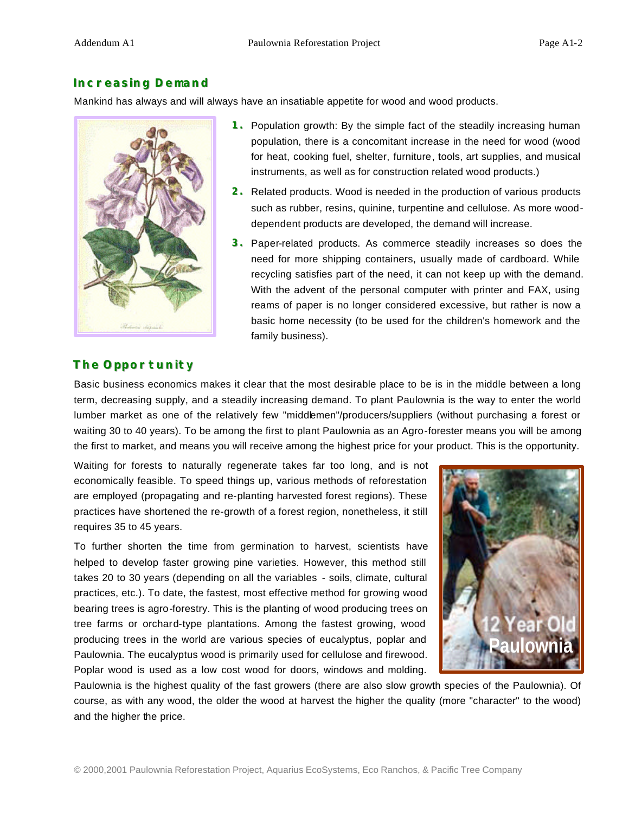## **Increasing Demand**

Mankind has always and will always have an insatiable appetite for wood and wood products.



- **1.** Population growth: By the simple fact of the steadily increasing human population, there is a concomitant increase in the need for wood (wood for heat, cooking fuel, shelter, furniture, tools, art supplies, and musical instruments, as well as for construction related wood products.)
- **2.** Related products. Wood is needed in the production of various products such as rubber, resins, quinine, turpentine and cellulose. As more wooddependent products are developed, the demand will increase.
- **3.** Paper-related products. As commerce steadily increases so does the need for more shipping containers, usually made of cardboard. While recycling satisfies part of the need, it can not keep up with the demand. With the advent of the personal computer with printer and FAX, using reams of paper is no longer considered excessive, but rather is now a basic home necessity (to be used for the children's homework and the family business).

## **The Opportunity**

Basic business economics makes it clear that the most desirable place to be is in the middle between a long term, decreasing supply, and a steadily increasing demand. To plant Paulownia is the way to enter the world lumber market as one of the relatively few "middlemen"/producers/suppliers (without purchasing a forest or waiting 30 to 40 years). To be among the first to plant Paulownia as an Agro-forester means you will be among the first to market, and means you will receive among the highest price for your product. This is the opportunity.

Waiting for forests to naturally regenerate takes far too long, and is not economically feasible. To speed things up, various methods of reforestation are employed (propagating and re-planting harvested forest regions). These practices have shortened the re-growth of a forest region, nonetheless, it still requires 35 to 45 years.

To further shorten the time from germination to harvest, scientists have helped to develop faster growing pine varieties. However, this method still takes 20 to 30 years (depending on all the variables - soils, climate, cultural practices, etc.). To date, the fastest, most effective method for growing wood bearing trees is agro-forestry. This is the planting of wood producing trees on tree farms or orchard-type plantations. Among the fastest growing, wood producing trees in the world are various species of eucalyptus, poplar and Paulownia. The eucalyptus wood is primarily used for cellulose and firewood. Poplar wood is used as a low cost wood for doors, windows and molding.



Paulownia is the highest quality of the fast growers (there are also slow growth species of the Paulownia). Of course, as with any wood, the older the wood at harvest the higher the quality (more "character" to the wood) and the higher the price.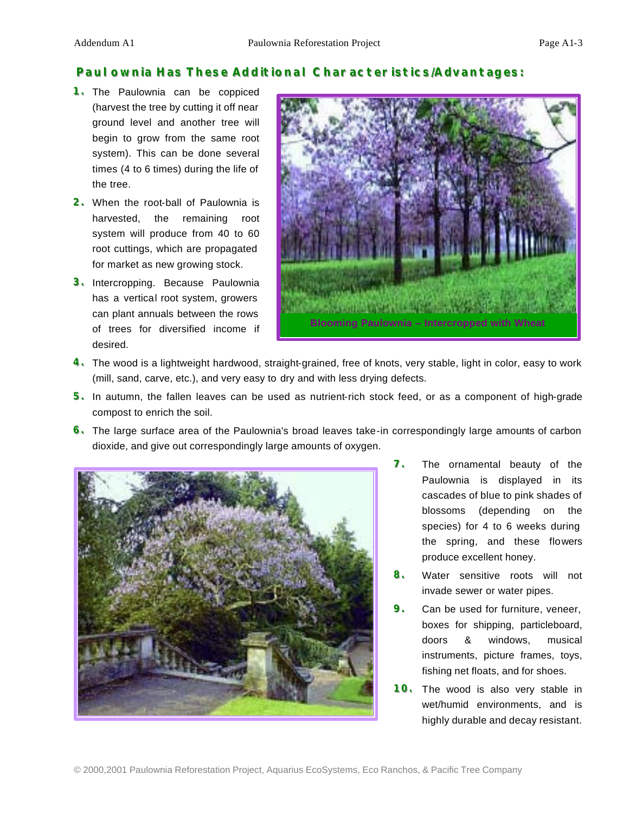## **Paul ownia Has These Additional Characteristics/Advantages:**

- **1.** The Paulownia can be coppiced (harvest the tree by cutting it off near ground level and another tree will begin to grow from the same root system). This can be done several times (4 to 6 times) during the life of the tree.
- **2.** When the root-ball of Paulownia is harvested, the remaining root system will produce from 40 to 60 root cuttings, which are propagated for market as new growing stock.
- **3.** Intercropping. Because Paulownia has a vertical root system, growers can plant annuals between the rows of trees for diversified income if desired.



- **44...** The wood is a lightweight hardwood, straight-grained, free of knots, very stable, light in color, easy to work (mill, sand, carve, etc.), and very easy to dry and with less drying defects.
- **5.** In autumn, the fallen leaves can be used as nutrient-rich stock feed, or as a component of high-grade compost to enrich the soil.
- **6.** The large surface area of the Paulownia's broad leaves take-in correspondingly large amounts of carbon dioxide, and give out correspondingly large amounts of oxygen.



- **7.** The ornamental beauty of the Paulownia is displayed in its cascades of blue to pink shades of blossoms (depending on the species) for 4 to 6 weeks during the spring, and these flowers produce excellent honey.
- 8. Water sensitive roots will not invade sewer or water pipes.
- **9.** Can be used for furniture, veneer, boxes for shipping, particleboard, doors & windows, musical instruments, picture frames, toys, fishing net floats, and for shoes.
- **10.** The wood is also very stable in wet/humid environments, and is highly durable and decay resistant.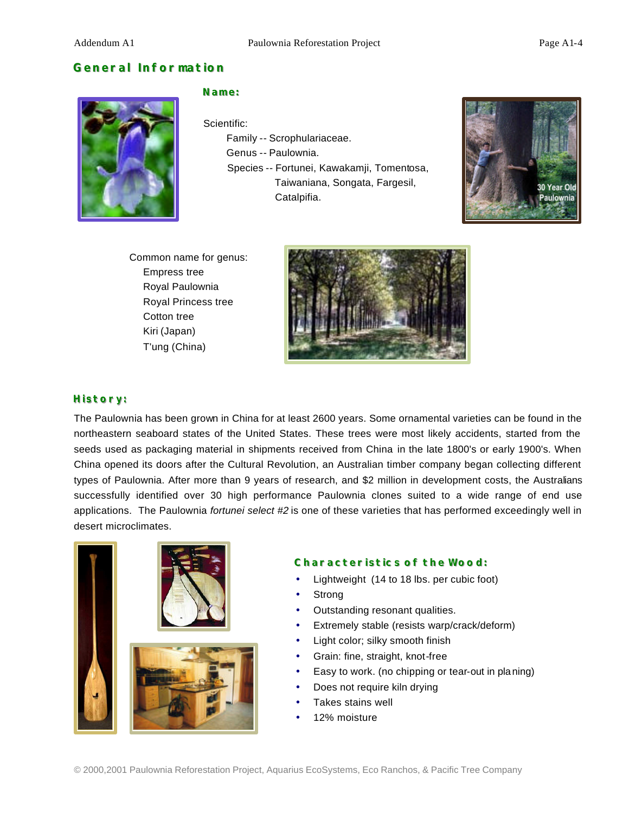## **General Information**



#### **Name:**

Scientific:

 Family -- Scrophulariaceae. Genus -- Paulownia. Species -- Fortunei, Kawakamji, Tomentosa, Taiwaniana, Songata, Fargesil, Catalpifia.



Common name for genus: Empress tree Royal Paulownia Royal Princess tree Cotton tree Kiri (Japan) T'ung (China)



#### **History:**

The Paulownia has been grown in China for at least 2600 years. Some ornamental varieties can be found in the northeastern seaboard states of the United States. These trees were most likely accidents, started from the seeds used as packaging material in shipments received from China in the late 1800's or early 1900's. When China opened its doors after the Cultural Revolution, an Australian timber company began collecting different types of Paulownia. After more than 9 years of research, and \$2 million in development costs, the Australians successfully identified over 30 high performance Paulownia clones suited to a wide range of end use applications. The Paulownia *fortunei select #2* is one of these varieties that has performed exceedingly well in desert microclimates.



#### **Characteristics of the Wood:**

- Lightweight (14 to 18 lbs. per cubic foot)
- **Strong**
- Outstanding resonant qualities.
- Extremely stable (resists warp/crack/deform)
- Light color; silky smooth finish
- Grain: fine, straight, knot-free
- Easy to work. (no chipping or tear-out in pla ning)
- Does not require kiln drying
- Takes stains well
- 12% moisture